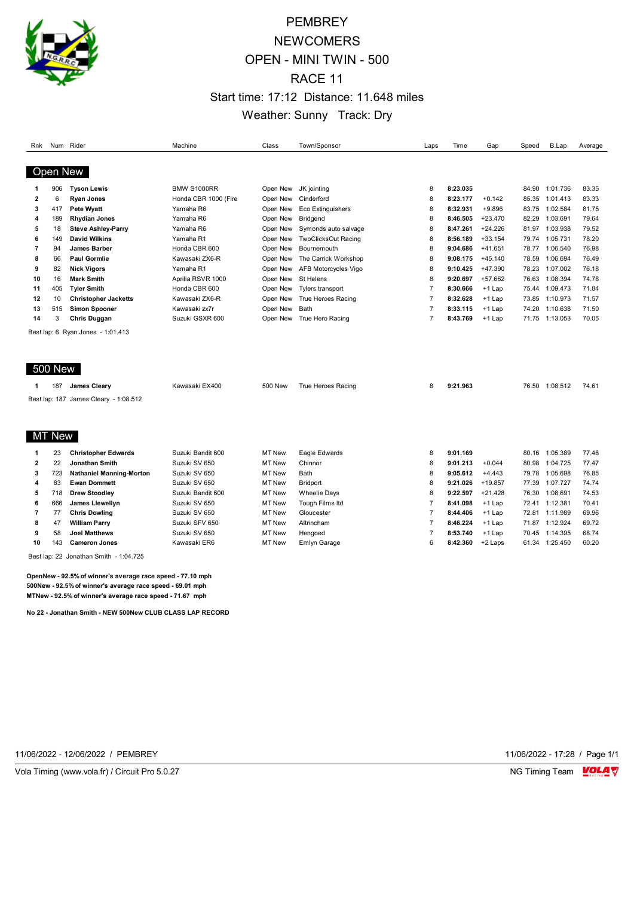

# **PEMBREY NEWCOMERS** OPEN - MINI TWIN - 500 RACE 11 Start time: 17:12 Distance: 11.648 miles Weather: Sunny Track: Dry

| Rnk            |                 | Num Rider                             | Machine              | Class          | Town/Sponsor               | Laps           | Time     | Gap       | Speed | <b>B.Lap</b>   | Average |
|----------------|-----------------|---------------------------------------|----------------------|----------------|----------------------------|----------------|----------|-----------|-------|----------------|---------|
|                |                 |                                       |                      |                |                            |                |          |           |       |                |         |
|                | <b>Open New</b> |                                       |                      |                |                            |                |          |           |       |                |         |
|                |                 |                                       |                      |                |                            |                |          |           |       |                |         |
| 1              | 906             | <b>Tyson Lewis</b>                    | <b>BMW S1000RR</b>   | Open New       | JK jointing                | 8              | 8:23.035 |           | 84.90 | 1:01.736       | 83.35   |
| $\overline{2}$ | 6               | <b>Ryan Jones</b>                     | Honda CBR 1000 (Fire | Open New       | Cinderford                 | 8              | 8:23.177 | $+0.142$  | 85.35 | 1:01.413       | 83.33   |
| 3              | 417             | Pete Wyatt                            | Yamaha R6            | Open New       | <b>Eco Extinguishers</b>   | 8              | 8:32.931 | $+9.896$  | 83.75 | 1:02.584       | 81.75   |
| 4              | 189             | <b>Rhydian Jones</b>                  | Yamaha R6            | Open New       | Bridgend                   | 8              | 8:46.505 | $+23.470$ | 82.29 | 1:03.691       | 79.64   |
| 5              | 18              | <b>Steve Ashley-Parry</b>             | Yamaha R6            | Open New       | Symonds auto salvage       | 8              | 8:47.261 | $+24.226$ | 81.97 | 1:03.938       | 79.52   |
| 6              | 149             | <b>David Wilkins</b>                  | Yamaha R1            | Open New       | <b>TwoClicksOut Racing</b> | 8              | 8:56.189 | $+33.154$ | 79.74 | 1:05.731       | 78.20   |
| 7              | 94              | <b>James Barber</b>                   | Honda CBR 600        | Open New       | Bournemouth                | 8              | 9:04.686 | $+41.651$ | 78.77 | 1:06.540       | 76.98   |
| 8              | 66              | <b>Paul Gormlie</b>                   | Kawasaki ZX6-R       | Open New       | The Carrick Workshop       | 8              | 9:08.175 | $+45.140$ | 78.59 | 1:06.694       | 76.49   |
| 9              | 82              | <b>Nick Vigors</b>                    | Yamaha R1            | Open New       | AFB Motorcycles Vigo       | 8              | 9:10.425 | $+47.390$ | 78.23 | 1:07.002       | 76.18   |
| 10             | 16              | <b>Mark Smith</b>                     | Aprilia RSVR 1000    | Open New       | St Helens                  | 8              | 9:20.697 | $+57.662$ | 76.63 | 1:08.394       | 74.78   |
| 11             | 405             | <b>Tyler Smith</b>                    | Honda CBR 600        | Open New       | <b>Tylers transport</b>    | $\overline{7}$ | 8:30.666 | +1 Lap    | 75.44 | 1:09.473       | 71.84   |
| 12             | 10              | <b>Christopher Jacketts</b>           | Kawasaki ZX6-R       | Open New       | True Heroes Racing         | $\overline{7}$ | 8:32.628 | $+1$ Lap  | 73.85 | 1:10.973       | 71.57   |
| 13             | 515             | <b>Simon Spooner</b>                  | Kawasaki zx7r        | Open New       | Bath                       | $\overline{7}$ | 8:33.115 | $+1$ Lap  | 74.20 | 1:10.638       | 71.50   |
| 14             | 3               | <b>Chris Duggan</b>                   | Suzuki GSXR 600      | Open New       | True Hero Racing           | $\overline{7}$ | 8:43.769 | $+1$ Lap  | 71.75 | 1:13.053       | 70.05   |
|                |                 | Best lap: 6 Ryan Jones - 1:01.413     |                      |                |                            |                |          |           |       |                |         |
|                |                 |                                       |                      |                |                            |                |          |           |       |                |         |
|                |                 |                                       |                      |                |                            |                |          |           |       |                |         |
|                |                 |                                       |                      |                |                            |                |          |           |       |                |         |
|                | <b>500 New</b>  |                                       |                      |                |                            |                |          |           |       |                |         |
|                |                 |                                       |                      |                |                            |                |          |           |       |                |         |
| 1              | 187             | James Cleary                          | Kawasaki EX400       | <b>500 New</b> | True Heroes Racing         | 8              | 9:21.963 |           |       | 76.50 1:08.512 | 74.61   |
|                |                 | Best lap: 187 James Cleary - 1:08.512 |                      |                |                            |                |          |           |       |                |         |
|                |                 |                                       |                      |                |                            |                |          |           |       |                |         |
|                |                 |                                       |                      |                |                            |                |          |           |       |                |         |
|                |                 |                                       |                      |                |                            |                |          |           |       |                |         |
|                | <b>MT New</b>   |                                       |                      |                |                            |                |          |           |       |                |         |
| 1              | 23              | <b>Christopher Edwards</b>            | Suzuki Bandit 600    | MT New         | Eagle Edwards              | 8              | 9:01.169 |           | 80.16 | 1:05.389       | 77.48   |
| $\mathbf{2}$   | 22              | <b>Jonathan Smith</b>                 | Suzuki SV 650        | MT New         | Chinnor                    | 8              | 9:01.213 | $+0.044$  | 80.98 | 1:04.725       | 77.47   |
| 3              | 723             | <b>Nathaniel Manning-Morton</b>       | Suzuki SV 650        | MT New         | Bath                       | 8              | 9:05.612 | $+4.443$  | 79.78 | 1:05.698       | 76.85   |
| 4              | 83              | <b>Ewan Dommett</b>                   | Suzuki SV 650        | MT New         | <b>Bridport</b>            | 8              | 9:21.026 | $+19.857$ | 77.39 | 1:07.727       | 74.74   |
| 5              | 718             | <b>Drew Stoodley</b>                  | Suzuki Bandit 600    | MT New         | <b>Wheelie Days</b>        | 8              | 9:22.597 | $+21.428$ | 76.30 | 1:08.691       | 74.53   |
| 6              | 666             | James Llewellyn                       | Suzuki SV 650        | MT New         | Tough Films Itd            | $\overline{7}$ | 8:41.098 | +1 Lap    | 72.41 | 1:12.381       | 70.41   |
| 7              | 77              | <b>Chris Dowling</b>                  | Suzuki SV 650        | MT New         | Gloucester                 | $\overline{7}$ | 8:44.406 | $+1$ Lap  | 72.81 | 1:11.989       | 69.96   |
| 8              | 47              | <b>William Parry</b>                  | Suzuki SFV 650       | MT New         | Altrincham                 | $\overline{7}$ | 8:46.224 | $+1$ Lap  |       | 71.87 1:12.924 | 69.72   |
| 9              | 58              | <b>Joel Matthews</b>                  | Suzuki SV 650        | MT New         | Hengoed                    | $\overline{7}$ | 8:53.740 | $+1$ Lap  | 70.45 | 1:14.395       | 68.74   |
| 10             | 143             | <b>Cameron Jones</b>                  | Kawasaki ER6         | <b>MT New</b>  | Emlyn Garage               | 6              | 8:42.360 | +2 Laps   | 61.34 | 1:25.450       | 60.20   |
|                |                 |                                       |                      |                |                            |                |          |           |       |                |         |

Best lap: 22 Jonathan Smith - 1:04.725

**OpenNew - 92.5% of winner's average race speed - 77.10 mph 500New - 92.5% of winner's average race speed - 69.01 mph MTNew - 92.5% of winner's average race speed - 71.67 mph**

**No 22 - Jonathan Smith - NEW 500New CLUB CLASS LAP RECORD**

11/06/2022 - 12/06/2022 / PEMBREY 11/06/2022 - 17:28 / Page 1/1

Vola Timing (www.vola.fr) / Circuit Pro 5.0.27 NG Timing Team Museum of the Superior Section 1997 NG Timing Team Museum of the Superior Section 1997 NG Timing Team Museum of the Superior Section 1997 NG Timing Team Museum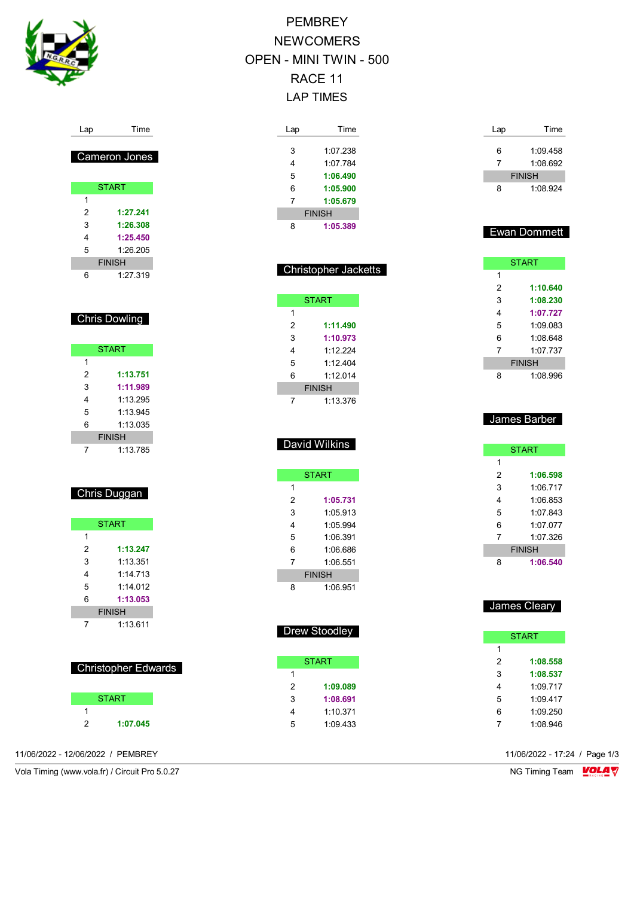

Lap Time

## Cameron Jones

| <b>START</b> |               |  |  |  |  |
|--------------|---------------|--|--|--|--|
| 1            |               |  |  |  |  |
| 2            | 1:27.241      |  |  |  |  |
| 3            | 1:26.308      |  |  |  |  |
| 4            | 1:25.450      |  |  |  |  |
| 5            | 1:26.205      |  |  |  |  |
|              | <b>FINISH</b> |  |  |  |  |
| $\epsilon$   | 1:27.319      |  |  |  |  |

## **Chris Dowling**

|   | <b>START</b>  |
|---|---------------|
| 1 |               |
| 2 | 1:13.751      |
| 3 | 1:11.989      |
| 4 | 1:13.295      |
| 5 | 1:13.945      |
| 6 | 1:13.035      |
|   | <b>FINISH</b> |
|   | 1:13.785      |

## Chris Duggan

|   | <b>START</b>  |
|---|---------------|
| 1 |               |
| 2 | 1:13.247      |
| 3 | 1:13.351      |
| 4 | 1:14.713      |
| 5 | 1.14 012      |
| 6 | 1:13.053      |
|   | <b>FINISH</b> |
|   | 1:13.611      |

| <b>Christopher Edwards</b> |  |
|----------------------------|--|
|                            |  |

| <b>START</b> |          |  |  |
|--------------|----------|--|--|
|              |          |  |  |
| 2            | 1:07.045 |  |  |

11/06/2022 - 12/06/2022 / PEMBREY 11/06/2022 - 17:24 / Page 1/3

Vola Timing (www.vola.fr) / Circuit Pro 5.0.27 NG Timing Team VOLA V

# PEMBREY **NEWCOMERS** OPEN - MINI TWIN - 500 RACE 11 LAP TIMES

| Lap | Time          |
|-----|---------------|
|     |               |
| 3   | 1:07.238      |
| 4   | 1.07 784      |
| 5   | 1:06.490      |
| 6   | 1:05.900      |
| 7   | 1:05.679      |
|     | <b>FINISH</b> |
| Ŗ   | 1:05.389      |

| <b>Christopher Jacketts</b> |               |  |  |  |
|-----------------------------|---------------|--|--|--|
|                             | <b>START</b>  |  |  |  |
| 1                           |               |  |  |  |
| 2                           | 1:11.490      |  |  |  |
| 3                           | 1:10.973      |  |  |  |
| 4                           | 1.12.224      |  |  |  |
| 5                           | 1.12404       |  |  |  |
| 6                           | 1.12014       |  |  |  |
|                             | <b>FINISH</b> |  |  |  |
|                             | 1:13.376      |  |  |  |

# David Wilkins

| <b>START</b> |               |  |
|--------------|---------------|--|
| 1            |               |  |
| 2            | 1:05.731      |  |
| 3            | 1:05.913      |  |
| 4            | 1:05.994      |  |
| 5            | 1:06 391      |  |
| 6            | 1:06.686      |  |
| 7            | 1:06.551      |  |
|              | <b>FINISH</b> |  |
| ጸ            | 1:06.951      |  |

| <b>Drew Stoodley</b> |  |
|----------------------|--|
|                      |  |

| 1             |
|---------------|
| 2<br>1:09.089 |
| 3<br>1:08.691 |
| 1:10.371<br>4 |
| 5<br>1:09 433 |

| Lap | Time          |
|-----|---------------|
| 6   | 1:09.458      |
| 7   | 1:08.692      |
|     | <b>FINISH</b> |
| 8   | 1:08.924      |

## Ewan Dommett

| <b>START</b>  |          |
|---------------|----------|
| 1             |          |
| 2             | 1:10.640 |
| 3             | 1:08.230 |
| 4             | 1:07.727 |
| 5             | 1:09 083 |
| 6             | 1:08 648 |
| 7             | 1.07 737 |
| <b>FINISH</b> |          |
| ឧ             | 1:08.996 |

## James Barber

| <b>START</b>  |          |
|---------------|----------|
| 1             |          |
| 2             | 1:06.598 |
| 3             | 1:06.717 |
| 4             | 1:06.853 |
| 5             | 1:07 843 |
| 6             | 1.07077  |
| 7             | 1.07.326 |
| <b>FINISH</b> |          |
| 8             | 1:06.540 |

#### James Cleary

| START |          |
|-------|----------|
| 1     |          |
| 2     | 1:08.558 |
| 3     | 1:08.537 |
| 4     | 1.09717  |
| 5     | 1.09417  |
| 6     | 1:09 250 |
|       | 1:08.946 |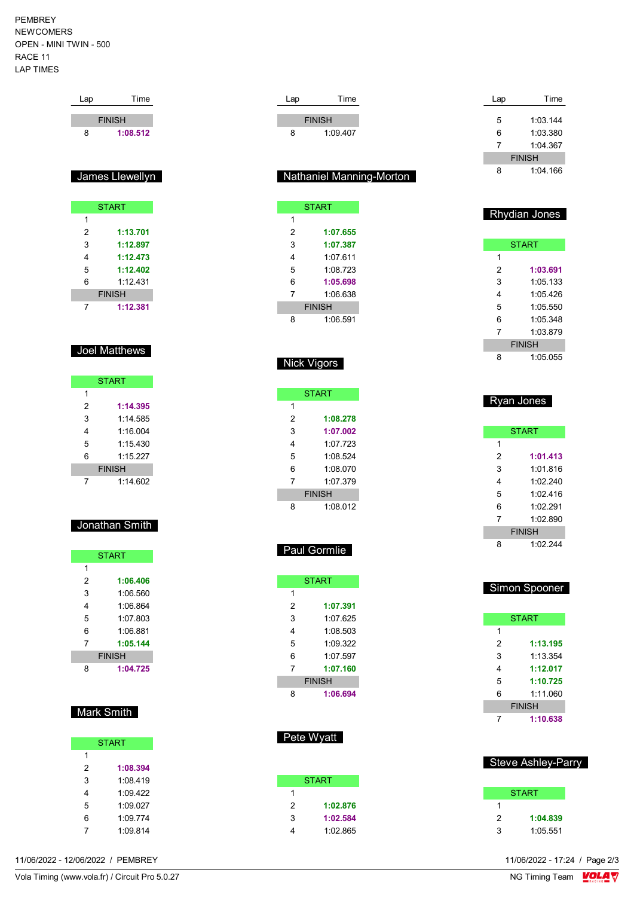PEMBREY NEWCOMERS OPEN - MINI TWIN - 500 RACE 11 LAP TIMES

Lap Time

 1:14.585 1:16.004 1:15.430 1:15.227 FINISH 1:14.602

Jonathan Smith

**START** 

 **1:06.406** 1:06.560 1:06.864 1:07.803 1:06.881 **1:05.144** FINISH **1:04.725**

Mark Smith

**START** 

 **1:08.394** 1:08.419 1:09.422 1:09.027 1:09.774 1:09.814

 $\overline{1}$ 

|                | <b>FINISH</b>   |
|----------------|-----------------|
| 8              | 1:08.512        |
|                |                 |
|                |                 |
|                | James Llewellyn |
|                |                 |
|                | <b>START</b>    |
| 1              |                 |
| $\overline{2}$ | 1:13.701        |
| 3              | 1:12.897        |
| 4              | 1:12.473        |
| 5              | 1:12.402        |
| 6              | 1:12.431        |
|                | <b>FINISH</b>   |
| 7              | 1:12.381        |
|                |                 |
|                |                 |
|                | Joel Matthews   |
|                |                 |
|                |                 |
|                | <b>START</b>    |
| 1              |                 |
| $\overline{2}$ | 1:14.395        |

| <b>START</b>  |          |
|---------------|----------|
| 1             |          |
| 2             | 1:08.278 |
| 3             | 1:07.002 |
| 4             | 1.07 723 |
| 5             | 1:08.524 |
| 6             | 1:08.070 |
| 7             | 1:07.379 |
| <b>FINISH</b> |          |
| Я             | 1:08.012 |

Lap Time

| <b>Paul Gormlie</b>      |              |  |
|--------------------------|--------------|--|
|                          | <b>START</b> |  |
|                          |              |  |
| 2                        | 1:07.391     |  |
| $\overline{\phantom{a}}$ |              |  |

| ∠             | 1.V <i>I.</i> JJI |  |
|---------------|-------------------|--|
| 3             | 1:07.625          |  |
| 4             | 1:08.503          |  |
| 5             | 1:09.322          |  |
| 6             | 1:07.597          |  |
| 7             | 1:07.160          |  |
| <b>FINISH</b> |                   |  |
| 8             | 1:06.694          |  |

## Pete Wyatt

| <b>START</b> |          |  |
|--------------|----------|--|
| 1            |          |  |
| 2            | 1:02.876 |  |
| 3            | 1:02.584 |  |
|              | 1:02.865 |  |

| Lap | Time          |
|-----|---------------|
|     |               |
| 5   | 1:03.144      |
| 6   | 1:03.380      |
| 7   | 1.04.367      |
|     | <b>FINISH</b> |
| я   | $1.04$ 166    |

#### Rhydian Jones

| <b>START</b>  |          |  |
|---------------|----------|--|
| 1             |          |  |
| 2             | 1:03.691 |  |
| 3             | 1:05.133 |  |
| 4             | 1:05 426 |  |
| 5             | 1:05.550 |  |
| 6             | 1:05.348 |  |
| 7             | 1:03.879 |  |
| <b>FINISH</b> |          |  |
| ឧ             | 1:05.055 |  |

| <u>Ryan Jones</u> |               |  |
|-------------------|---------------|--|
|                   | <b>START</b>  |  |
| 1                 |               |  |
| 2                 | 1:01.413      |  |
| 3                 | 1:01.816      |  |
| 4                 | 1.02240       |  |
| 5                 | 1.02416       |  |
| 6                 | 1.02291       |  |
| 7                 | 1:02.890      |  |
|                   | <b>FINISH</b> |  |
| 8                 | 1:02.244      |  |

| <b>Simon Spooner</b> |              |  |
|----------------------|--------------|--|
|                      |              |  |
|                      | <b>START</b> |  |
| 1                    |              |  |
| 2                    | 1:13.195     |  |
| 3                    | 1.13.354     |  |
| 4                    | 1:12.017     |  |
| 5                    | 1:10.725     |  |
| 6                    | 1.11 060     |  |
| <b>FINISH</b>        |              |  |
|                      | 1:10.638     |  |

#### Steve Ashley-Parry

| <b>START</b> |          |  |  |  |  |  |  |  |  |
|--------------|----------|--|--|--|--|--|--|--|--|
|              |          |  |  |  |  |  |  |  |  |
| 2            | 1:04.839 |  |  |  |  |  |  |  |  |
| 3            | 1:05.551 |  |  |  |  |  |  |  |  |

11/06/2022 - 12/06/2022 / PEMBREY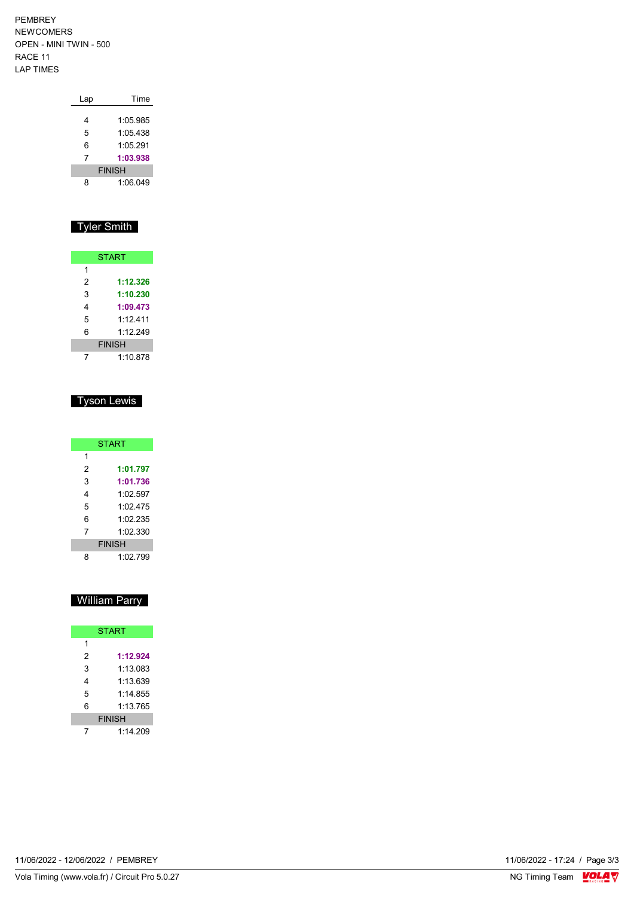PEMBREY NEWCOMERS OPEN - MINI TWIN - 500 RACE 11 LAP TIMES

| Lap           | Time     |  |  |  |  |  |  |  |
|---------------|----------|--|--|--|--|--|--|--|
| 4             | 1:05.985 |  |  |  |  |  |  |  |
| 5             | 1:05.438 |  |  |  |  |  |  |  |
| 6             | 1:05 291 |  |  |  |  |  |  |  |
| 7             | 1:03.938 |  |  |  |  |  |  |  |
| <b>FINISH</b> |          |  |  |  |  |  |  |  |
| 8             | 1:06.049 |  |  |  |  |  |  |  |

# Tyler Smith

| <b>START</b>  |          |  |  |  |  |  |  |  |
|---------------|----------|--|--|--|--|--|--|--|
| 1             |          |  |  |  |  |  |  |  |
| 2             | 1:12.326 |  |  |  |  |  |  |  |
| 3             | 1:10.230 |  |  |  |  |  |  |  |
| 4             | 1:09.473 |  |  |  |  |  |  |  |
| 5             | 1.12411  |  |  |  |  |  |  |  |
| 6             | 1.12249  |  |  |  |  |  |  |  |
| <b>FINISH</b> |          |  |  |  |  |  |  |  |
|               | 1:10.878 |  |  |  |  |  |  |  |

# Tyson Lewis

| <b>START</b>  |          |  |  |  |  |  |  |  |  |
|---------------|----------|--|--|--|--|--|--|--|--|
| 1             |          |  |  |  |  |  |  |  |  |
| 2             | 1:01.797 |  |  |  |  |  |  |  |  |
| 3             | 1:01.736 |  |  |  |  |  |  |  |  |
| 4             | 1.02.597 |  |  |  |  |  |  |  |  |
| 5             | 1:02 475 |  |  |  |  |  |  |  |  |
| 6             | 1.02.235 |  |  |  |  |  |  |  |  |
| 7             | 1.02330  |  |  |  |  |  |  |  |  |
| <b>FINISH</b> |          |  |  |  |  |  |  |  |  |
|               | 1.02 799 |  |  |  |  |  |  |  |  |

# William Parry

| <b>START</b>  |          |  |  |  |  |  |  |  |
|---------------|----------|--|--|--|--|--|--|--|
| 1             |          |  |  |  |  |  |  |  |
| 2             | 1:12.924 |  |  |  |  |  |  |  |
| 3             | 1:13.083 |  |  |  |  |  |  |  |
| 4             | 1:13.639 |  |  |  |  |  |  |  |
| 5             | 1:14 855 |  |  |  |  |  |  |  |
| 6             | 1:13.765 |  |  |  |  |  |  |  |
| <b>FINISH</b> |          |  |  |  |  |  |  |  |
|               | 1.14209  |  |  |  |  |  |  |  |